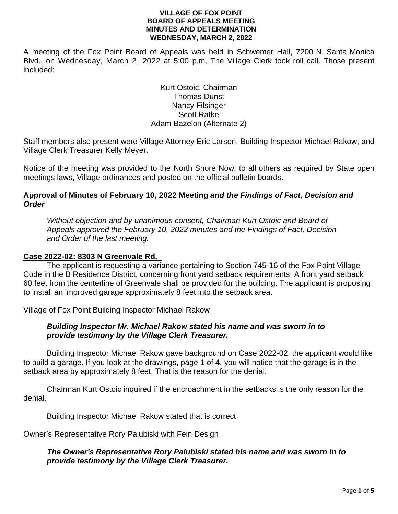A meeting of the Fox Point Board of Appeals was held in Schwemer Hall, 7200 N. Santa Monica Blvd., on Wednesday, March 2, 2022 at 5:00 p.m. The Village Clerk took roll call. Those present included:

> Kurt Ostoic, Chairman Thomas Dunst Nancy Filsinger Scott Ratke Adam Bazelon (Alternate 2)

Staff members also present were Village Attorney Eric Larson, Building Inspector Michael Rakow, and Village Clerk Treasurer Kelly Meyer.

Notice of the meeting was provided to the North Shore Now, to all others as required by State open meetings laws, Village ordinances and posted on the official bulletin boards.

# **Approval of Minutes of February 10, 2022 Meeting** *and the Findings of Fact, Decision and Order*

*Without objection and by unanimous consent, Chairman Kurt Ostoic and Board of Appeals approved the February 10, 2022 minutes and the Findings of Fact, Decision and Order of the last meeting.*

## **Case 2022-02: 8303 N Greenvale Rd.**

The applicant is requesting a variance pertaining to Section 745-16 of the Fox Point Village Code in the B Residence District, concerning front yard setback requirements. A front yard setback 60 feet from the centerline of Greenvale shall be provided for the building. The applicant is proposing to install an improved garage approximately 8 feet into the setback area.

## Village of Fox Point Building Inspector Michael Rakow

## *Building Inspector Mr. Michael Rakow stated his name and was sworn in to provide testimony by the Village Clerk Treasurer.*

Building Inspector Michael Rakow gave background on Case 2022-02. the applicant would like to build a garage. If you look at the drawings, page 1 of 4, you will notice that the garage is in the setback area by approximately 8 feet. That is the reason for the denial.

Chairman Kurt Ostoic inquired if the encroachment in the setbacks is the only reason for the denial.

Building Inspector Michael Rakow stated that is correct.

#### Owner's Representative Rory Palubiski with Fein Design

## *The Owner's Representative Rory Palubiski stated his name and was sworn in to provide testimony by the Village Clerk Treasurer.*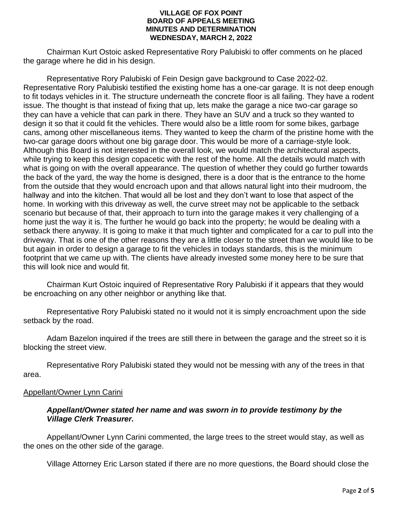Chairman Kurt Ostoic asked Representative Rory Palubiski to offer comments on he placed the garage where he did in his design.

Representative Rory Palubiski of Fein Design gave background to Case 2022-02. Representative Rory Palubiski testified the existing home has a one-car garage. It is not deep enough to fit todays vehicles in it. The structure underneath the concrete floor is all failing. They have a rodent issue. The thought is that instead of fixing that up, lets make the garage a nice two-car garage so they can have a vehicle that can park in there. They have an SUV and a truck so they wanted to design it so that it could fit the vehicles. There would also be a little room for some bikes, garbage cans, among other miscellaneous items. They wanted to keep the charm of the pristine home with the two-car garage doors without one big garage door. This would be more of a carriage-style look. Although this Board is not interested in the overall look, we would match the architectural aspects, while trying to keep this design copacetic with the rest of the home. All the details would match with what is going on with the overall appearance. The question of whether they could go further towards the back of the yard, the way the home is designed, there is a door that is the entrance to the home from the outside that they would encroach upon and that allows natural light into their mudroom, the hallway and into the kitchen. That would all be lost and they don't want to lose that aspect of the home. In working with this driveway as well, the curve street may not be applicable to the setback scenario but because of that, their approach to turn into the garage makes it very challenging of a home just the way it is. The further he would go back into the property; he would be dealing with a setback there anyway. It is going to make it that much tighter and complicated for a car to pull into the driveway. That is one of the other reasons they are a little closer to the street than we would like to be but again in order to design a garage to fit the vehicles in todays standards, this is the minimum footprint that we came up with. The clients have already invested some money here to be sure that this will look nice and would fit.

Chairman Kurt Ostoic inquired of Representative Rory Palubiski if it appears that they would be encroaching on any other neighbor or anything like that.

Representative Rory Palubiski stated no it would not it is simply encroachment upon the side setback by the road.

Adam Bazelon inquired if the trees are still there in between the garage and the street so it is blocking the street view.

Representative Rory Palubiski stated they would not be messing with any of the trees in that area.

## Appellant/Owner Lynn Carini

## *Appellant/Owner stated her name and was sworn in to provide testimony by the Village Clerk Treasurer.*

Appellant/Owner Lynn Carini commented, the large trees to the street would stay, as well as the ones on the other side of the garage.

Village Attorney Eric Larson stated if there are no more questions, the Board should close the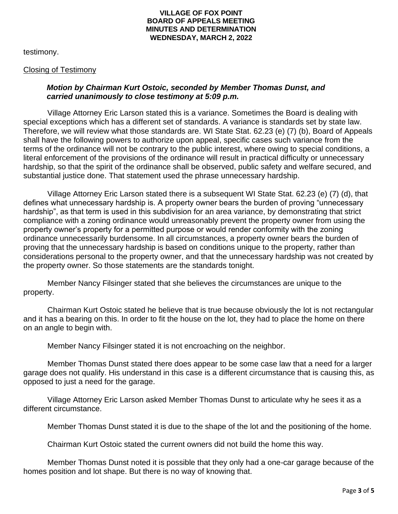testimony.

#### Closing of Testimony

## *Motion by Chairman Kurt Ostoic, seconded by Member Thomas Dunst, and carried unanimously to close testimony at 5:09 p.m.*

Village Attorney Eric Larson stated this is a variance. Sometimes the Board is dealing with special exceptions which has a different set of standards. A variance is standards set by state law. Therefore, we will review what those standards are. WI State Stat. 62.23 (e) (7) (b), Board of Appeals shall have the following powers to authorize upon appeal, specific cases such variance from the terms of the ordinance will not be contrary to the public interest, where owing to special conditions, a literal enforcement of the provisions of the ordinance will result in practical difficulty or unnecessary hardship, so that the spirit of the ordinance shall be observed, public safety and welfare secured, and substantial justice done. That statement used the phrase unnecessary hardship.

Village Attorney Eric Larson stated there is a subsequent WI State Stat. 62.23 (e) (7) (d), that defines what unnecessary hardship is. A property owner bears the burden of proving "unnecessary hardship", as that term is used in this subdivision for an area variance, by demonstrating that strict compliance with a zoning ordinance would unreasonably prevent the property owner from using the property owner's property for a permitted purpose or would render conformity with the zoning ordinance unnecessarily burdensome. In all circumstances, a property owner bears the burden of proving that the unnecessary hardship is based on conditions unique to the property, rather than considerations personal to the property owner, and that the unnecessary hardship was not created by the property owner. So those statements are the standards tonight.

Member Nancy Filsinger stated that she believes the circumstances are unique to the property.

Chairman Kurt Ostoic stated he believe that is true because obviously the lot is not rectangular and it has a bearing on this. In order to fit the house on the lot, they had to place the home on there on an angle to begin with.

Member Nancy Filsinger stated it is not encroaching on the neighbor.

Member Thomas Dunst stated there does appear to be some case law that a need for a larger garage does not qualify. His understand in this case is a different circumstance that is causing this, as opposed to just a need for the garage.

Village Attorney Eric Larson asked Member Thomas Dunst to articulate why he sees it as a different circumstance.

Member Thomas Dunst stated it is due to the shape of the lot and the positioning of the home.

Chairman Kurt Ostoic stated the current owners did not build the home this way.

Member Thomas Dunst noted it is possible that they only had a one-car garage because of the homes position and lot shape. But there is no way of knowing that.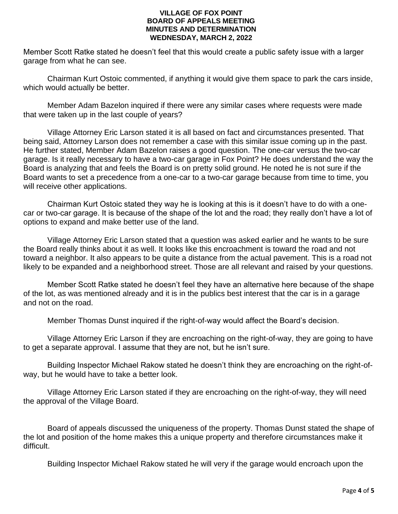Member Scott Ratke stated he doesn't feel that this would create a public safety issue with a larger garage from what he can see.

Chairman Kurt Ostoic commented, if anything it would give them space to park the cars inside, which would actually be better.

Member Adam Bazelon inquired if there were any similar cases where requests were made that were taken up in the last couple of years?

Village Attorney Eric Larson stated it is all based on fact and circumstances presented. That being said, Attorney Larson does not remember a case with this similar issue coming up in the past. He further stated, Member Adam Bazelon raises a good question. The one-car versus the two-car garage. Is it really necessary to have a two-car garage in Fox Point? He does understand the way the Board is analyzing that and feels the Board is on pretty solid ground. He noted he is not sure if the Board wants to set a precedence from a one-car to a two-car garage because from time to time, you will receive other applications.

Chairman Kurt Ostoic stated they way he is looking at this is it doesn't have to do with a onecar or two-car garage. It is because of the shape of the lot and the road; they really don't have a lot of options to expand and make better use of the land.

Village Attorney Eric Larson stated that a question was asked earlier and he wants to be sure the Board really thinks about it as well. It looks like this encroachment is toward the road and not toward a neighbor. It also appears to be quite a distance from the actual pavement. This is a road not likely to be expanded and a neighborhood street. Those are all relevant and raised by your questions.

Member Scott Ratke stated he doesn't feel they have an alternative here because of the shape of the lot, as was mentioned already and it is in the publics best interest that the car is in a garage and not on the road.

Member Thomas Dunst inquired if the right-of-way would affect the Board's decision.

Village Attorney Eric Larson if they are encroaching on the right-of-way, they are going to have to get a separate approval. I assume that they are not, but he isn't sure.

Building Inspector Michael Rakow stated he doesn't think they are encroaching on the right-ofway, but he would have to take a better look.

Village Attorney Eric Larson stated if they are encroaching on the right-of-way, they will need the approval of the Village Board.

Board of appeals discussed the uniqueness of the property. Thomas Dunst stated the shape of the lot and position of the home makes this a unique property and therefore circumstances make it difficult.

Building Inspector Michael Rakow stated he will very if the garage would encroach upon the